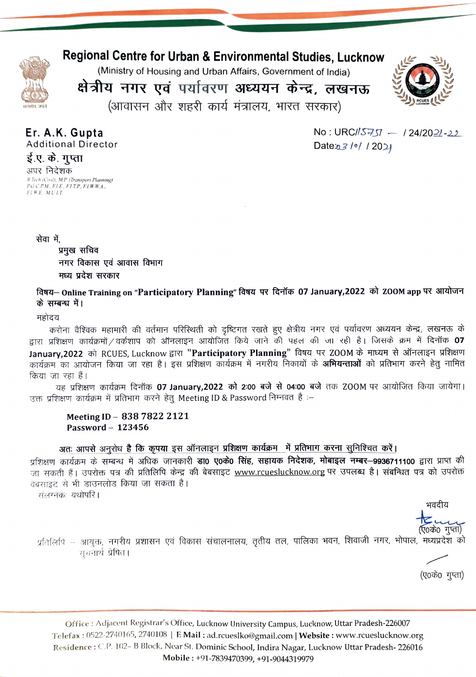

# Regional Centre for Urban & Environmental Studies, Lucknow

(Ministry of Housing and Urban Affairs, Government of India)

क्षेत्रीय नगर एवं पर्यावरण अध्ययन केन्द्र, लखनऊ (आवासन और शहरी कार्य मंत्रालय, भारत सरकार)



Er. A.K. Gupta Additional Director ई.ए. के. गुप्ता अपर निदेशक B Tech (Cvil). MP (Transport Planning) PGC.P.M. FIE. ELT.P, FLW:W.A. FI WE., M U.LT

 $No: URC/15757 - 124/2021 - 22$ Date  $n3/$ <sup>e</sup>/ / 2021

सेवा में,

प्रमुख सचिव नगर विकास एवं आवास विभाग मध्य प्रदेश सरकार

विषय– Online Training on "Participatory Planning" विषय पर दिनॉक 07 January,2022 को ZOOM app पर आयोजन के सम्बन्ध में।

महोदय<br>करोना वैश्विक महामारी की वर्तमान परिस्थिती को दृष्टिगत रखते हुए क्षेत्रीय नगर एवं पर्यावरण अध्ययन केन्द्र, लखनऊ के द्वारा प्रशिक्षण कार्यक्रमों / वर्कशाप को ऑनलाइन आयोजित किये जाने की पहल की जा रही है। जिसके क्रम में दिनॉक 07<br>January,2022 को RCUES, Lucknow द्वारा "**Participatory Planning**" विषय पर ZOOM के माध्यम से ऑनलाइन प्रशिक्षण<br>का

a uRNTOT T4 fais 07 January,2022 2:00 À04:00 q T7Z0OM TR 3TUT fT RT| 3 ufiery 7TiDH afeHT vg Meeting 1D & Password Mr 8

### Meeting ID - 838 7822 2121 Password - 123456

अतः आपसे अनुरोध है कि कृपया इस ऑनलाइन प्रशिक्षण कार्यक्रम में प्रतिभाग करना सुनिश्चित करें।

प्रशिक्षण कार्यक्रम के सम्बन्ध में अधिक जानकारी **डा0 ए0के0 सिंह, सहायक निदेशक, मोबाइल नम्बर-9936711100** द्वारा प्राप्त की जा सकती हैं। उपरोक्त पत्र की प्रतिलिपि केन्द्र की बेबसाइट www.rcueslucknow.org पर उपलब्ध है। संबन्धित पत्र को उपरोक्त वेबसाइट से भी डाउनलोड किया जा सकता है।

संलग्नकः यथोपरि।

भवदीय

(एoकेo गुप्ता)<br>प्रतिलिपि – आयक्त, नगरीय प्रशासन एवं विकास संचालनालय, तृतीय तल, पालिका भवन, शिवाजी नगर, भोपाल, मध्यप्रदेश को सूचनार्थ प्रेषित।

(ए०के० गुप्ता)

Office: Adjacent Registrar's Office, Lucknow University Campus, Lucknow, Uttar Pradesh-226007 Telefax: 0522-2740165, 2740108 | E Mail: ad.rcueslko@gmail.com | Website: www.rcueslucknow.org Residence: C.P. 102- B Block, Near St. Dominic School, Indira Nagar, Lucknow Uttar Pradesh- 226016 Mobile: +91-7839470399, +91-9044319979